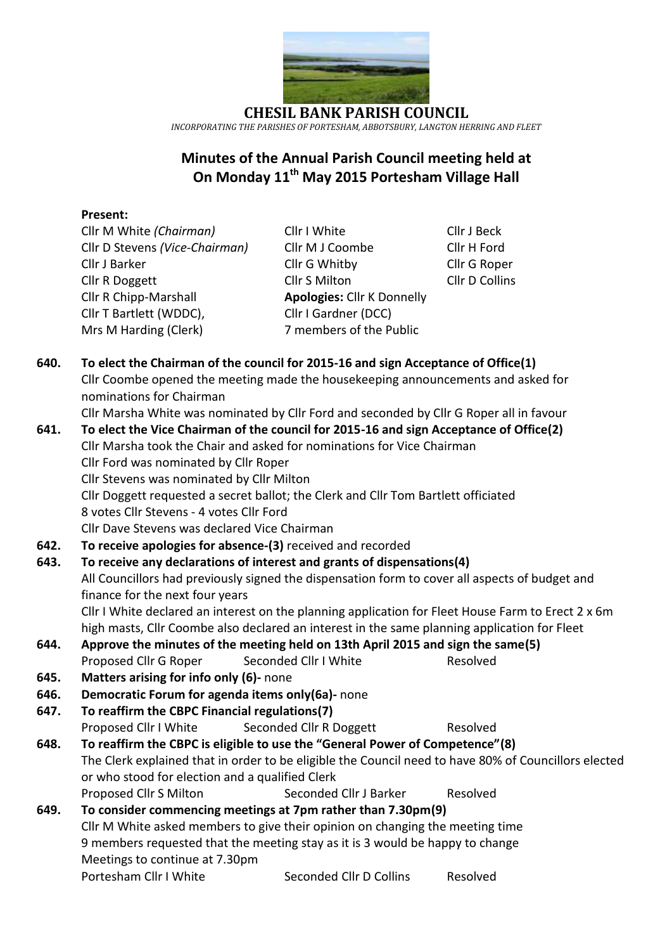

**CHESIL BANK PARISH COUNCIL** *INCORPORATING THE PARISHES OF PORTESHAM, ABBOTSBURY, LANGTON HERRING AND FLEET*

### **Minutes of the Annual Parish Council meeting held at On Monday 11th May 2015 Portesham Village Hall**

#### **Present:**

Cllr D Stevens *(Vice-Chairman)* Cllr M J Coombe Cllr H Ford Cllr J Barker Cllr G Whitby Cllr G Roper Cllr R Doggett Cllr S Milton Cllr D Collins Cllr R Chipp-Marshall **Apologies:** Cllr K Donnelly Cllr T Bartlett (WDDC), Cllr I Gardner (DCC) Mrs M Harding (Clerk) 7 members of the Public

Cllr M White *(Chairman)* Cllr I White Cllr J Beck

- **640. To elect the Chairman of the council for 2015-16 and sign Acceptance of Office(1)** Cllr Coombe opened the meeting made the housekeeping announcements and asked for nominations for Chairman Cllr Marsha White was nominated by Cllr Ford and seconded by Cllr G Roper all in favour **641. To elect the Vice Chairman of the council for 2015-16 and sign Acceptance of Office(2)** Cllr Marsha took the Chair and asked for nominations for Vice Chairman Cllr Ford was nominated by Cllr Roper Cllr Stevens was nominated by Cllr Milton Cllr Doggett requested a secret ballot; the Clerk and Cllr Tom Bartlett officiated 8 votes Cllr Stevens - 4 votes Cllr Ford Cllr Dave Stevens was declared Vice Chairman
- **642. To receive apologies for absence-(3)** received and recorded

## **643. To receive any declarations of interest and grants of dispensations(4)** All Councillors had previously signed the dispensation form to cover all aspects of budget and finance for the next four years

Cllr I White declared an interest on the planning application for Fleet House Farm to Erect 2 x 6m high masts, Cllr Coombe also declared an interest in the same planning application for Fleet

- **644. Approve the minutes of the meeting held on 13th April 2015 and sign the same(5)** Proposed Cllr G Roper Seconded Cllr I White Resolved
- **645. Matters arising for info only (6)-** none
- **646. Democratic Forum for agenda items only(6a)-** none
- **647. To reaffirm the CBPC Financial regulations(7)** Proposed Cllr I White Seconded Cllr R Doggett Resolved **648. To reaffirm the CBPC is eligible to use the "General Power of Competence"(8)**

# The Clerk explained that in order to be eligible the Council need to have 80% of Councillors elected or who stood for election and a qualified Clerk

Proposed Cllr S Milton Seconded Cllr J Barker Resolved

#### **649. To consider commencing meetings at 7pm rather than 7.30pm(9)** Cllr M White asked members to give their opinion on changing the meeting time 9 members requested that the meeting stay as it is 3 would be happy to change Meetings to continue at 7.30pm Portesham Cllr I White Seconded Cllr D Collins Resolved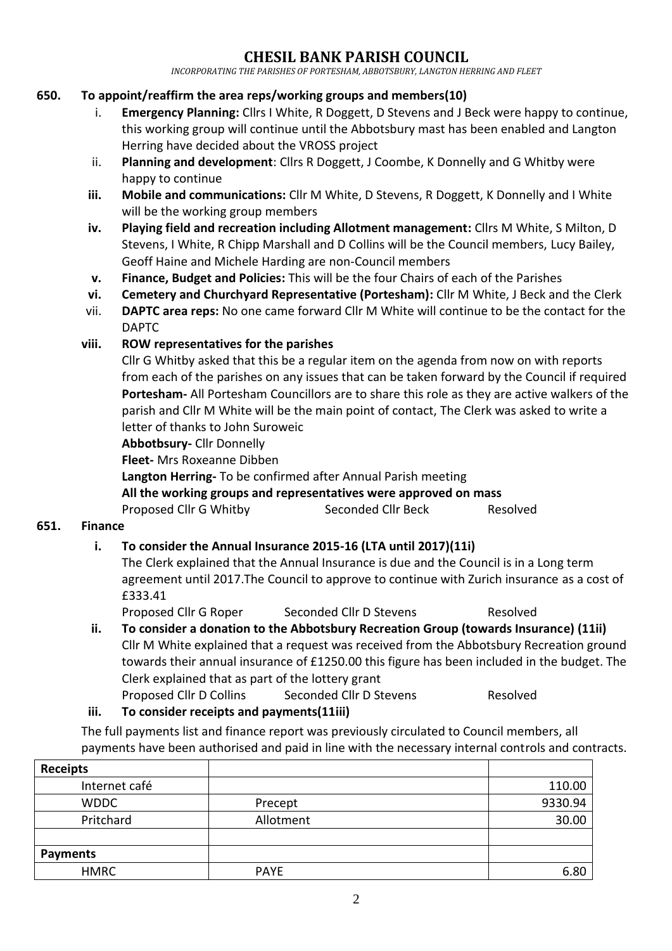### **CHESIL BANK PARISH COUNCIL**

*INCORPORATING THE PARISHES OF PORTESHAM, ABBOTSBURY, LANGTON HERRING AND FLEET*

#### **650. To appoint/reaffirm the area reps/working groups and members(10)**

- i. **Emergency Planning:** Cllrs I White, R Doggett, D Stevens and J Beck were happy to continue, this working group will continue until the Abbotsbury mast has been enabled and Langton Herring have decided about the VROSS project
- ii. **Planning and development**: Cllrs R Doggett, J Coombe, K Donnelly and G Whitby were happy to continue
- **iii. Mobile and communications:** Cllr M White, D Stevens, R Doggett, K Donnelly and I White will be the working group members
- **iv. Playing field and recreation including Allotment management:** Cllrs M White, S Milton, D Stevens, I White, R Chipp Marshall and D Collins will be the Council members, Lucy Bailey, Geoff Haine and Michele Harding are non-Council members
- **v. Finance, Budget and Policies:** This will be the four Chairs of each of the Parishes
- **vi. Cemetery and Churchyard Representative (Portesham):** Cllr M White, J Beck and the Clerk
- vii. **DAPTC area reps:** No one came forward Cllr M White will continue to be the contact for the DAPTC

### **viii. ROW representatives for the parishes**

Cllr G Whitby asked that this be a regular item on the agenda from now on with reports from each of the parishes on any issues that can be taken forward by the Council if required **Portesham-** All Portesham Councillors are to share this role as they are active walkers of the parish and Cllr M White will be the main point of contact, The Clerk was asked to write a letter of thanks to John Suroweic

**Abbotbsury-** Cllr Donnelly

**Fleet-** Mrs Roxeanne Dibben

**Langton Herring-** To be confirmed after Annual Parish meeting

**All the working groups and representatives were approved on mass**

Proposed Cllr G Whitby Seconded Cllr Beck Resolved

### **651. Finance**

### **i. To consider the Annual Insurance 2015-16 (LTA until 2017)(11i)**

The Clerk explained that the Annual Insurance is due and the Council is in a Long term agreement until 2017.The Council to approve to continue with Zurich insurance as a cost of £333.41

Proposed Cllr G Roper Seconded Cllr D Stevens Resolved

### **ii. To consider a donation to the Abbotsbury Recreation Group (towards Insurance) (11ii)**

- Cllr M White explained that a request was received from the Abbotsbury Recreation ground towards their annual insurance of £1250.00 this figure has been included in the budget. The Clerk explained that as part of the lottery grant
- Proposed Cllr D Collins Seconded Cllr D Stevens Resolved
- **iii. To consider receipts and payments(11iii)**

The full payments list and finance report was previously circulated to Council members, all payments have been authorised and paid in line with the necessary internal controls and contracts.

| <b>Receipts</b> |             |         |
|-----------------|-------------|---------|
| Internet café   |             | 110.00  |
| <b>WDDC</b>     | Precept     | 9330.94 |
| Pritchard       | Allotment   | 30.00   |
|                 |             |         |
| <b>Payments</b> |             |         |
| <b>HMRC</b>     | <b>PAYE</b> | 6.80    |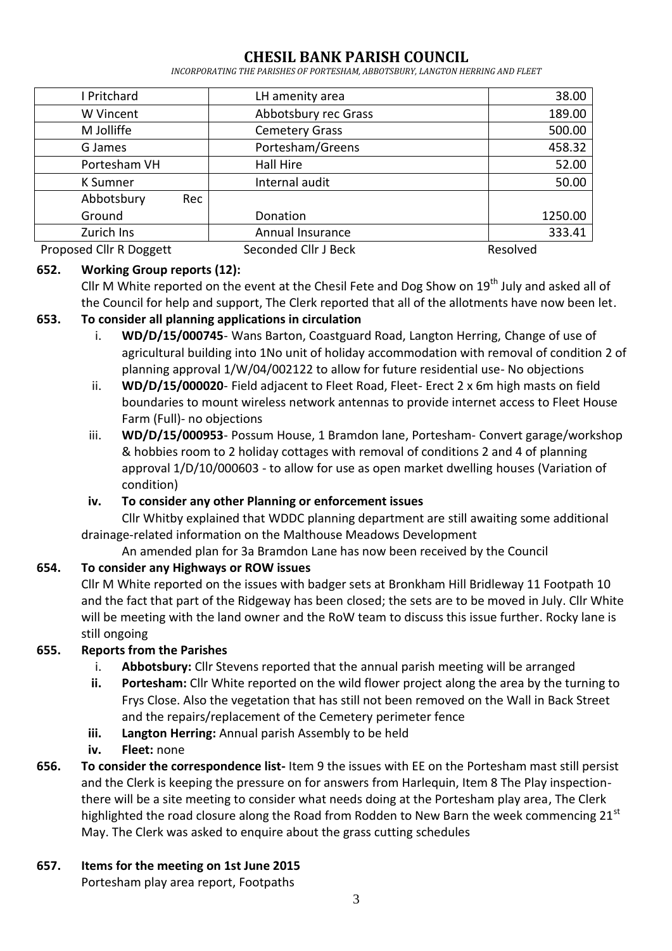### **CHESIL BANK PARISH COUNCIL**

*INCORPORATING THE PARISHES OF PORTESHAM, ABBOTSBURY, LANGTON HERRING AND FLEET*

| I Pritchard             | LH amenity area       | 38.00    |
|-------------------------|-----------------------|----------|
| W Vincent               | Abbotsbury rec Grass  | 189.00   |
| M Jolliffe              | <b>Cemetery Grass</b> | 500.00   |
| G James                 | Portesham/Greens      | 458.32   |
| Portesham VH            | Hall Hire             | 52.00    |
| K Sumner                | Internal audit        | 50.00    |
| Abbotsbury<br>Rec       |                       |          |
| Ground                  | Donation              | 1250.00  |
| Zurich Ins              | Annual Insurance      | 333.41   |
| Proposed Cllr R Doggett | Seconded Cllr J Beck  | Resolved |

#### **652. Working Group reports (12):**

Cllr M White reported on the event at the Chesil Fete and Dog Show on  $19<sup>th</sup>$  July and asked all of the Council for help and support, The Clerk reported that all of the allotments have now been let.

### **653. To consider all planning applications in circulation**

- i. **WD/D/15/000745** Wans Barton, Coastguard Road, Langton Herring, Change of use of agricultural building into 1No unit of holiday accommodation with removal of condition 2 of planning approval 1/W/04/002122 to allow for future residential use- No objections
- ii. **WD/D/15/000020** Field adjacent to Fleet Road, Fleet- Erect 2 x 6m high masts on field boundaries to mount wireless network antennas to provide internet access to Fleet House Farm (Full)- no objections
- iii. **WD/D/15/000953** Possum House, 1 Bramdon lane, Portesham- Convert garage/workshop & hobbies room to 2 holiday cottages with removal of conditions 2 and 4 of planning approval 1/D/10/000603 - to allow for use as open market dwelling houses (Variation of condition)

### **iv. To consider any other Planning or enforcement issues**

Cllr Whitby explained that WDDC planning department are still awaiting some additional drainage-related information on the Malthouse Meadows Development

An amended plan for 3a Bramdon Lane has now been received by the Council

### **654. To consider any Highways or ROW issues**

Cllr M White reported on the issues with badger sets at Bronkham Hill Bridleway 11 Footpath 10 and the fact that part of the Ridgeway has been closed; the sets are to be moved in July. Cllr White will be meeting with the land owner and the RoW team to discuss this issue further. Rocky lane is still ongoing

### **655. Reports from the Parishes**

- i. **Abbotsbury:** Cllr Stevens reported that the annual parish meeting will be arranged
- **ii. Portesham:** Cllr White reported on the wild flower project along the area by the turning to Frys Close. Also the vegetation that has still not been removed on the Wall in Back Street and the repairs/replacement of the Cemetery perimeter fence
- **iii. Langton Herring:** Annual parish Assembly to be held
- **iv. Fleet:** none
- **656. To consider the correspondence list-** Item 9 the issues with EE on the Portesham mast still persist and the Clerk is keeping the pressure on for answers from Harlequin, Item 8 The Play inspectionthere will be a site meeting to consider what needs doing at the Portesham play area, The Clerk highlighted the road closure along the Road from Rodden to New Barn the week commencing 21st May. The Clerk was asked to enquire about the grass cutting schedules

### **657. Items for the meeting on 1st June 2015**

Portesham play area report, Footpaths